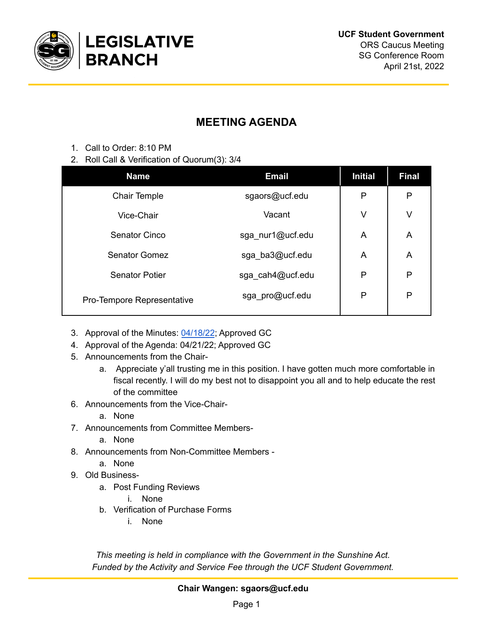

## **MEETING AGENDA**

- 1. Call to Order: 8:10 PM
- 2. Roll Call & Verification of Quorum(3): 3/4

| <b>Name</b>                | <b>Email</b>     | <b>Initial</b> | <b>Final</b> |
|----------------------------|------------------|----------------|--------------|
| <b>Chair Temple</b>        | sgaors@ucf.edu   | P              | P            |
| Vice-Chair                 | Vacant           | V              | V            |
| <b>Senator Cinco</b>       | sga_nur1@ucf.edu | A              | A            |
| <b>Senator Gomez</b>       | sga_ba3@ucf.edu  | A              | A            |
| <b>Senator Potier</b>      | sga_cah4@ucf.edu | P              | $\mathsf{P}$ |
| Pro-Tempore Representative | sga_pro@ucf.edu  | P              | P            |

- 3. Approval of the Minutes: [04/18/22](https://docs.google.com/document/u/0/d/1eFhg00GCAllCno7vBXUXQgmSdyJcw0lMtE3ditnoeFY/edit); Approved GC
- 4. Approval of the Agenda: 04/21/22; Approved GC
- 5. Announcements from the Chair
	- a. Appreciate y'all trusting me in this position. I have gotten much more comfortable in fiscal recently. I will do my best not to disappoint you all and to help educate the rest of the committee
- 6. Announcements from the Vice-Chair
	- a. None
- 7. Announcements from Committee Members
	- a. None
- 8. Announcements from Non-Committee Members
	- a. None
- 9. Old Business
	- a. Post Funding Reviews
		- i. None
	- b. Verification of Purchase Forms
		- i. None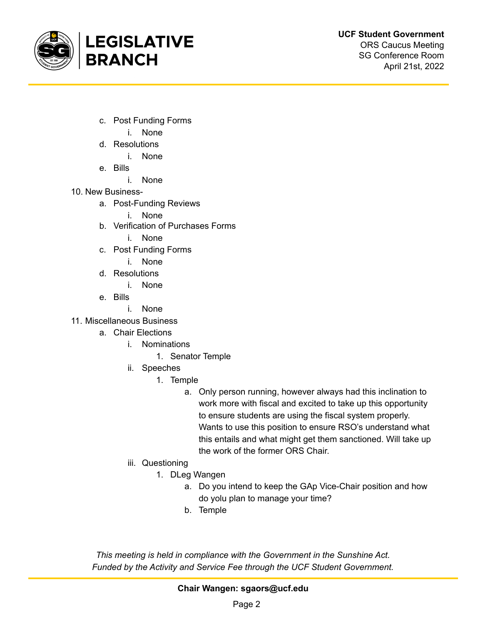

- c. Post Funding Forms
	- i. None
- d. Resolutions
	- i. None
- e. Bills
	- i. None
- 10. New Business
	- a. Post-Funding Reviews
		- i. None
	- b. Verification of Purchases Forms
		- i. None
	- c. Post Funding Forms
		- i. None
	- d. Resolutions
		- i. None
	- e. Bills
		- i. None
- 11. Miscellaneous Business
	- a. Chair Elections
		- i. Nominations
			- 1. Senator Temple
		- ii. Speeches
			- 1. Temple
				- a. Only person running, however always had this inclination to work more with fiscal and excited to take up this opportunity to ensure students are using the fiscal system properly. Wants to use this position to ensure RSO's understand what this entails and what might get them sanctioned. Will take up the work of the former ORS Chair.
		- iii. Questioning
			- 1. DLeg Wangen
				- a. Do you intend to keep the GAp Vice-Chair position and how do yolu plan to manage your time?
				- b. Temple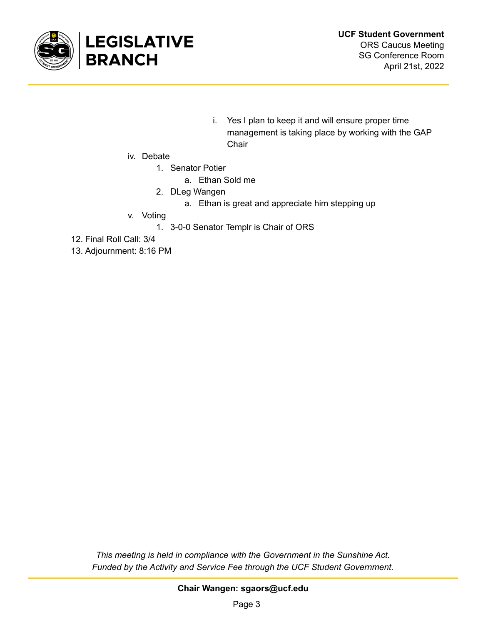

- i. Yes I plan to keep it and will ensure proper time management is taking place by working with the GAP **Chair**
- iv. Debate
	- 1. Senator Potier
		- a. Ethan Sold me
	- 2. DLeg Wangen
		- a. Ethan is great and appreciate him stepping up
- v. Voting
	- 1. 3-0-0 Senator Templr is Chair of ORS
- 12. Final Roll Call: 3/4
- 13. Adjournment: 8:16 PM